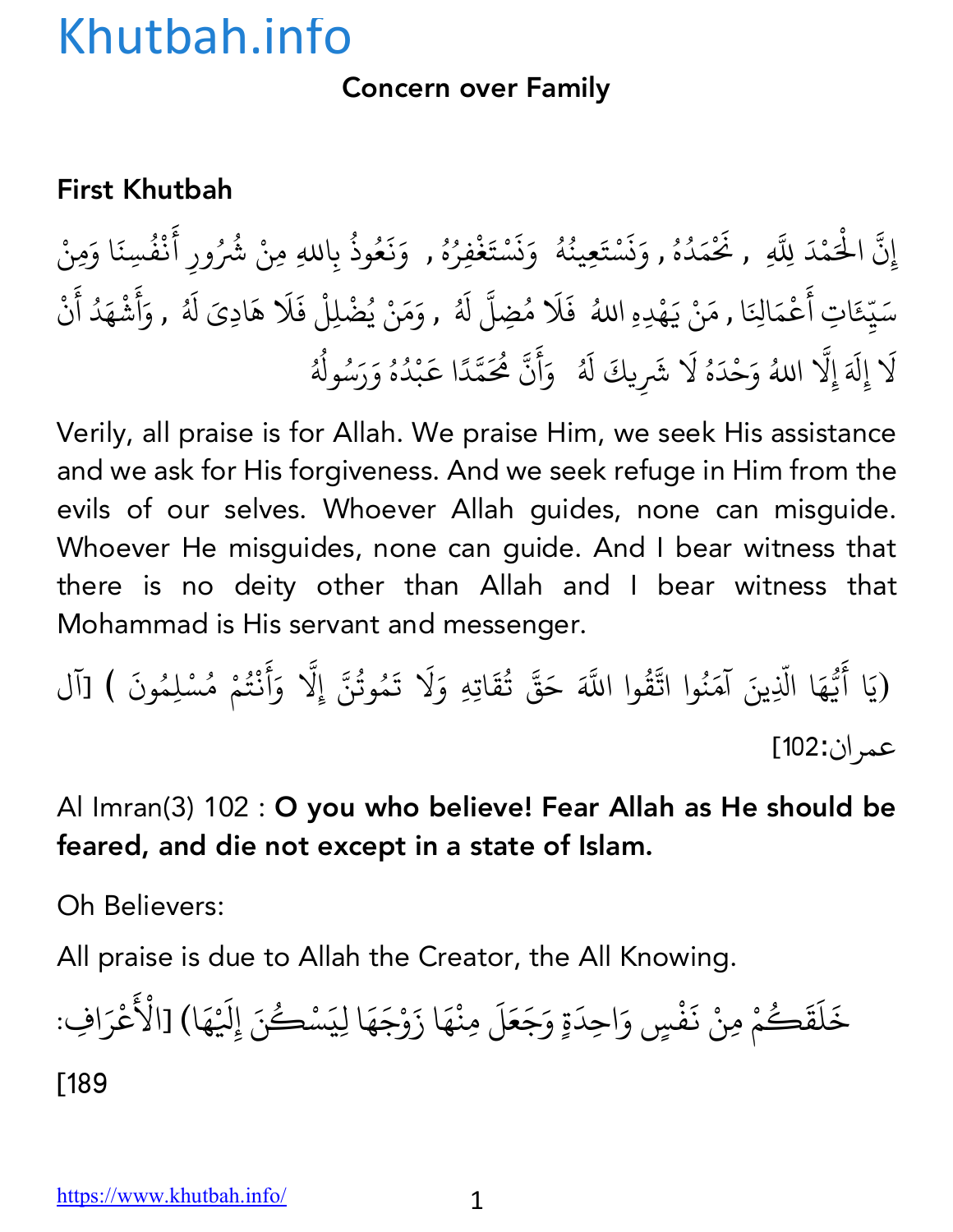Concern over Family

#### First Khutbah

إِنَّ الْحَمْدَ لِلَّهِ , نَحْمَدُهُ , وَنَسْتَعِينُهُ ۚ وَنَسْتَغْفِرُهُ , وَنَعُوذُ بِاللهِ مِنْ شُرُ ُ ا<br>ا **∶** ز ्<br>। <u>َ</u> المستقبل المستقبل المستقبل المستقبل المستقبل المستقبل المستقبل المستقبل المستقبل المستقبل المستقبل المستقبل ال<br>والمستقبل المستقبل المستقبل المستقبل المستقبل المستقبل المستقبل المستقبل المستقبل المستقبل المستقبل المستقبل ا ∫<br>່ **∶** ز **∶** <u>َ</u> **∶** المستقبل المستقبل المستقبل المستقبل المستقبل المستقبل المستقبل المستقبل المستقبل المستقبل المستقبل المستقبل ال<br>والمستقبل المستقبل المستقبل المستقبل المستقبل المستقبل المستقبل المستقبل المستقبل المستقبل المستقبل المستقبل ا ا<br>المسلمان<br>المسلمان **∶** ्<br>। المستقبل المستقبل المستقبل المستقبل المستقبل المستقبل المستقبل المستقبل المستقبل المستقبل المستقبل المستقبل ال<br>والمستقبل المستقبل المستقبل المستقبل المستقبل المستقبل المستقبل المستقبل المستقبل المستقبل المستقبل المستقبل ا بِاللهِ مِنْ شُرُورِ أَنْفُسِنَا وَمِنْ **∶** ْ ُ سَيِّعَاتِ أَعْمَالِنَا , مَنْ يَهْدِهِ اللهُ ۖ فَلَا مُضِلَّ لَهُ , وَمَنْ يُضْلِلْ فَلَا هَادِىَ لَهُ , وَأَشْهَدُ أَنْ ؚ<br>ׇ֡֬֝֝֟<u>֝</u> ֧֦֧֝<u>֘</u> **∶ ∶ ∶** ا<br>ُ ؚ<br>ؚ ُ **∶** أ **∶ Andrew Communication ∶ Andrew Communication** لَا إِلَهَ إِلَّا اللهُ وَحْدَهُ لَا شَرِيكَ لَهُ ۚ وَأَنَّ مُحَمَّدًا عَبْدُهُ وَرَسُولُهُ **∶** ֧֧֧֝֟֓֓֝֬֟֓֓֬֝֬֝֬֓֓֬֝֬֝֬֓֬֝֬֝֬֝֬֝֬֝֬֓֬֝֬֓֬֓֬֓֓֬֓ ∫<br>່ **∶ ∶** ्<br>। ُ **∶** أ **∶** ֧֧֦֧֦֧֦֧֦֧֚֚֝֝֝֬<br>֧֚֝<br>֧֝ ֧֦֧֝<u>֘</u> ैं।<br>। **Andrew Communication** ُ ∫<br>∶ ُ ِّ ِ

Verily, all praise is for Allah. We praise Him, we seek His assistance and we ask for His forgiveness. And we seek refuge in Him from the evils of our selves. Whoever Allah guides, none can misguide. Whoever He misguides, none can guide. And I bear witness that there is no deity other than Allah and I bear witness that Mohammad is His servant and messenger.

(يَا أَيُّهَا الَّذِينَ آمَنُوا اتَّقُّ  $\ddot{\phantom{a}}$ ֧֪֪֦֖֧֦֝֟֟֓֟֟֟֟֟֟֟֟֓֟֬֟֓֟֬֟֟֓֟֬֟֟֓֟֬֝֬֟֓֟֬֝֟֟֟֓֬ **∶** .<br>.<br>. ُ ्<br>द وا اللَّهَ حَقَّ تُقَاتِهِ وَلَا تَمُوتُنَّ إِلَّا وَأَنْتُمْ مُسْلِمُونَ ) [آل ُ  $\ddot{\phantom{0}}$ ُ ֧֧֦֧֖֚֚֚֝֝֝֬ **∶ ∶** ْ ِّ بِ عمران:102]

Al Imran(3) 102 : O you who believe! Fear Allah as He should be feared, and die not except in a state of Islam.

Oh Believers:

All praise is due to Allah the Creator, the All Knowing.

خَلَقَكُمْ مِنْ نَفْسٍ وَاحِدَةٍ وَجَعَلَ مِنْهَا زَوْجَهَا لِيَسْكُنَ إِلَيْهَ ֺ<u>֓</u> َ ؚ<br>ۣ **∶** ्<br>। **∶** ैं।<br>● ्<br>। ֡֡֟<u>֚</u>  $\tilde{\epsilon}$ ا) [الْأَعْرَافِ: ؚ<br>ا [189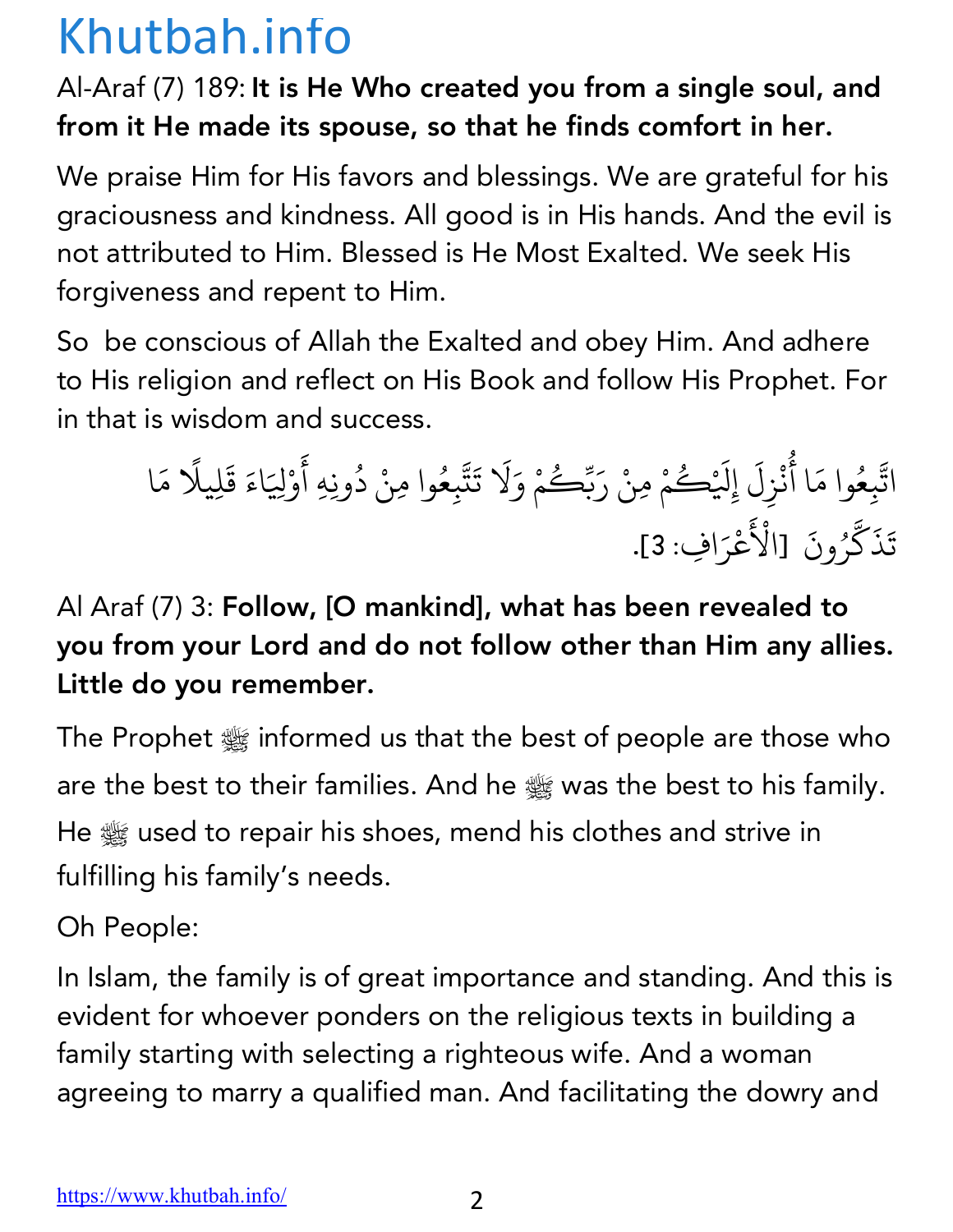#### Al-Araf (7) 189: It is He Who created you from a single soul, and from it He made its spouse, so that he finds comfort in her.

We praise Him for His favors and blessings. We are grateful for his graciousness and kindness. All good is in His hands. And the evil is not attributed to Him. Blessed is He Most Exalted. We seek His forgiveness and repent to Him.

So be conscious of Allah the Exalted and obey Him. And adhere to His religion and reflect on His Book and follow His Prophet. For in that is wisdom and success.

ات K ب عِ ُ <sup>ا</sup> <sup>أ</sup> َ وام ُ ن ْ ز ل ِ َ ِ@ إ ُ ْك َ م ِمن ْ ر ْ َ ك ب ُ ّ م و ْ لا َ ت َ َ ت K ب عِ ُ <sup>د</sup> ْ وا ِمن ِِه أ ُ َ ون و ْ @ِ اء َ ق َ ِليلا َ ً م َ ا ت َ ذ َ ك K ر ون ُ [الأ َ ْ َ ع ْ ر <sup>ا</sup> ِف: 3]. َ

### Al Araf (7) 3: Follow, [O mankind], what has been revealed to you from your Lord and do not follow other than Him any allies. Little do you remember.

The Prophet  $\frac{1600}{2000}$  informed us that the best of people are those who are the best to their families. And he st was the best to his family. He  $\frac{1000}{2000}$  used to repair his shoes, mend his clothes and strive in fulfilling his family's needs.

Oh People:

In Islam, the family is of great importance and standing. And this is evident for whoever ponders on the religious texts in building a family starting with selecting a righteous wife. And a woman agreeing to marry a qualified man. And facilitating the dowry and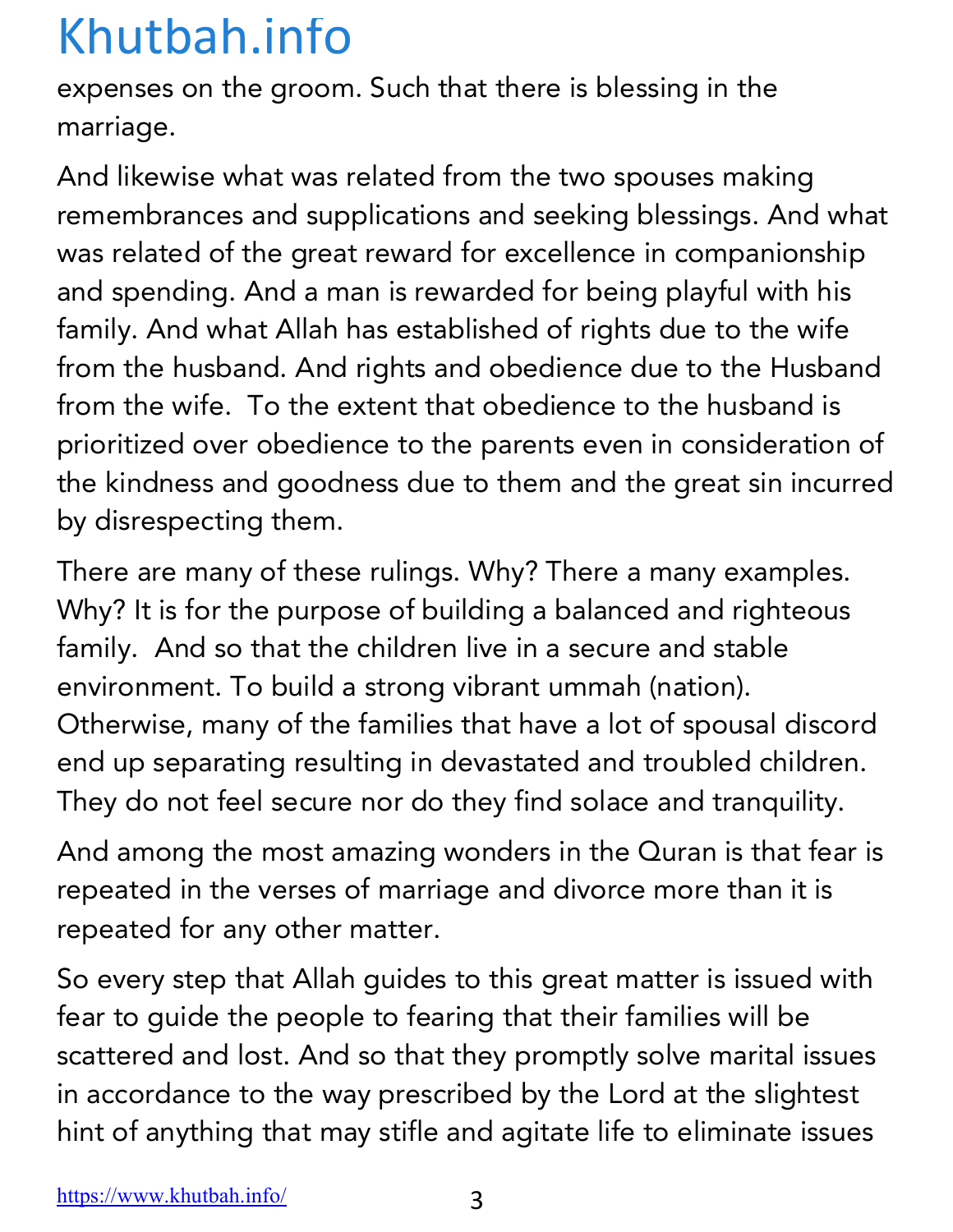expenses on the groom. Such that there is blessing in the marriage.

And likewise what was related from the two spouses making remembrances and supplications and seeking blessings. And what was related of the great reward for excellence in companionship and spending. And a man is rewarded for being playful with his family. And what Allah has established of rights due to the wife from the husband. And rights and obedience due to the Husband from the wife. To the extent that obedience to the husband is prioritized over obedience to the parents even in consideration of the kindness and goodness due to them and the great sin incurred by disrespecting them.

There are many of these rulings. Why? There a many examples. Why? It is for the purpose of building a balanced and righteous family. And so that the children live in a secure and stable environment. To build a strong vibrant ummah (nation). Otherwise, many of the families that have a lot of spousal discord end up separating resulting in devastated and troubled children. They do not feel secure nor do they find solace and tranquility.

And among the most amazing wonders in the Quran is that fear is repeated in the verses of marriage and divorce more than it is repeated for any other matter.

So every step that Allah guides to this great matter is issued with fear to guide the people to fearing that their families will be scattered and lost. And so that they promptly solve marital issues in accordance to the way prescribed by the Lord at the slightest hint of anything that may stifle and agitate life to eliminate issues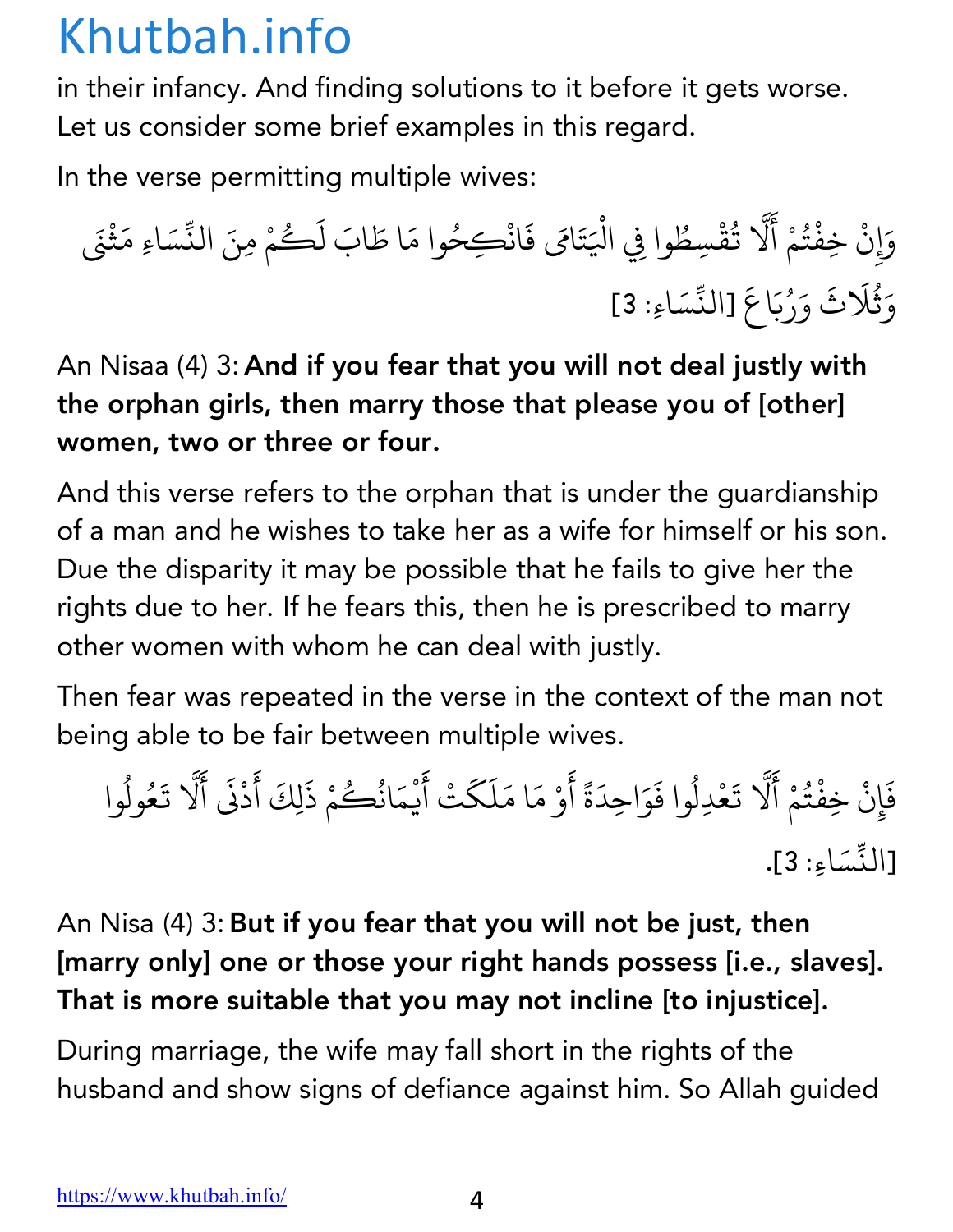in their infancy. And finding solutions to it before it gets worse. Let us consider some brief examples in this regard.

In the verse permitting multiple wives:

و َ c ن ِ ِخف ْ ْ ت ُ م أ ْ َ لا K ي ُ ق ِسط ْ ْ وا ِف ا@ ُ َ ت ام َ ف َ َ ان ُ ِكح ْ <sup>ل</sup> َ اب َ <sup>ا</sup> <sup>ط</sup> َ وام ك َ ُ م ِمن ْ <sup>س</sup> ّ الن َ َ اِء م َ ث ن ْ َ و َ ث لا ُ ث َ و َ ر َ ُ ب اع َ <sup>س</sup> ّ [الن َ اِء: 3] َ

An Nisaa (4) 3: And if you fear that you will not deal justly with the orphan girls, then marry those that please you of [other] women, two or three or four.

And this verse refers to the orphan that is under the guardianship of a man and he wishes to take her as a wife for himself or his son. Due the disparity it may be possible that he fails to give her the rights due to her. If he fears this, then he is prescribed to marry other women with whom he can deal with justly.

Then fear was repeated in the verse in the context of the man not being able to be fair between multiple wives.

فَإِنْ خِفْتُمْ أَلَّا تَعْدِلُوا فَوَاحِدَةً أَوْ مَا مَلَكَتْ أَيْمَانُكُمْ ذَلِكَ أَدْنَى أَلَّا تَعُولُوا **∶** ُ َ K  $\ddot{\phantom{0}}$ ُ **∶ ∶** ا<br>المسلمة<br>المسلمة  $\ddot{\phantom{0}}$ َ**∶**  $\ddot{\phantom{a}}$ ُ ∫<br>∫ َ ֺ<u>֓</u> K  $\ddot{\phantom{0}}$ ُ .<br>[النِّسَاءِ: <mark>3]</mark>.

#### An Nisa (4) 3:But if you fear that you will not be just, then [marry only] one or those your right hands possess [i.e., slaves]. That is more suitable that you may not incline [to injustice].

During marriage, the wife may fall short in the rights of the husband and show signs of defiance against him. So Allah guided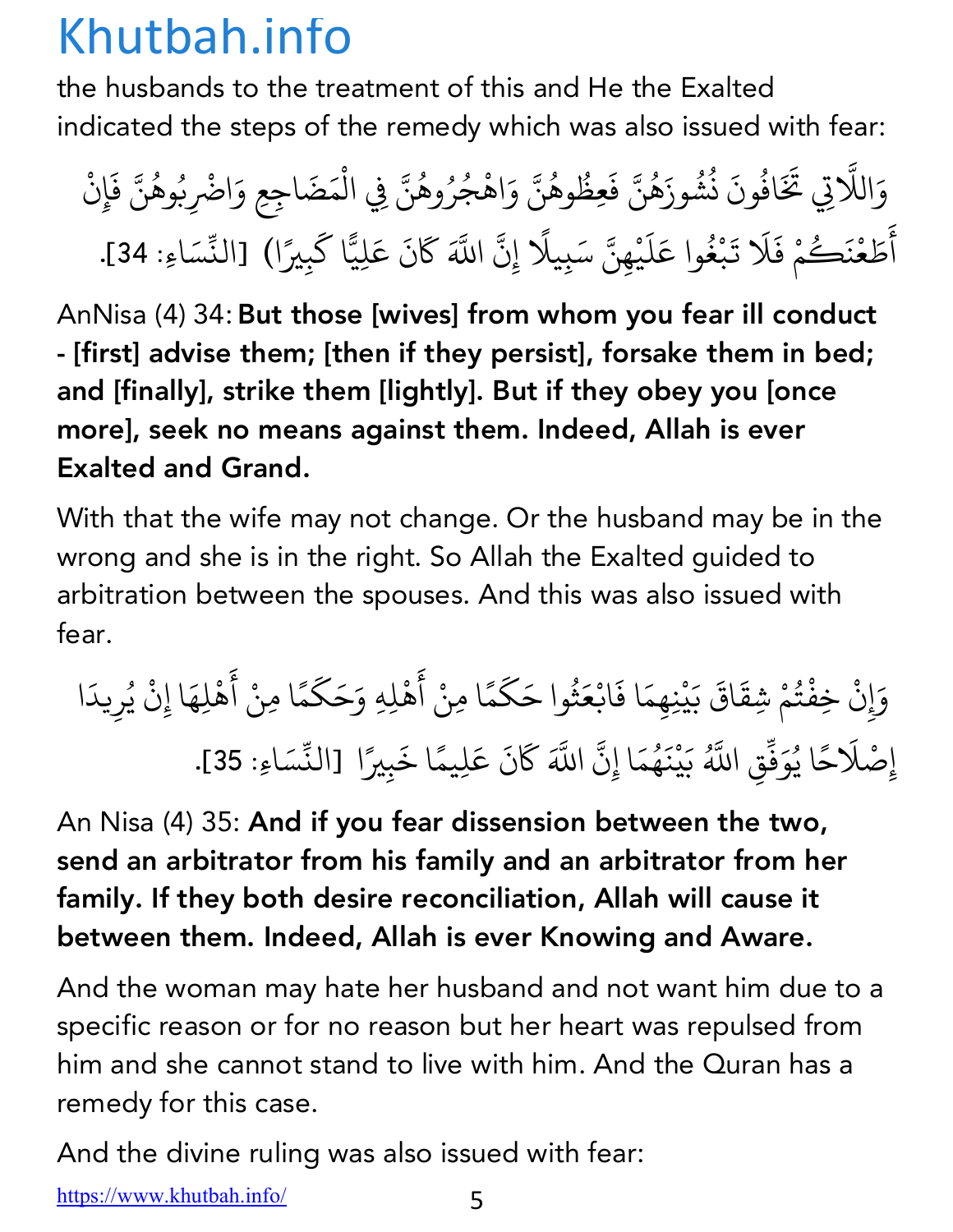the husbands to the treatment of this and He the Exalted indicated the steps of the remedy which was also issued with fear:

وَاللَّاتِي تَخَافُونَ نُشُوزَهُنَّ فَعِظُوهُنَّ وَاهْجُرُوهُنَّ فِي الْمَضَاجِعِ وَاضْرِبُوهُنَّ فَإِنْ K ُ **∶** ز ُ المستقبل المستقبل المستقبل المستقبل المستقبل المستقبل المستقبل المستقبل المستقبل المستقبل المستقبل المستقبل ال<br>والمستقبل المستقبل المستقبل المستقبل المستقبل المستقبل المستقبل المستقبل المستقبل المستقبل المستقبل المستقبل ا **ृ** ؚ<br>ؚ ∫<br>່ ∫<br>≀ .<br>. ُ ؚ<br>ؚ المستقبل المستقبل المستقبل المستقبل المستقبل المستقبل المستقبل المستقبل المستقبل المستقبل المستقبل المستقبل ال<br>والمستقبل المستقبل المستقبل المستقبل المستقبل المستقبل المستقبل المستقبل المستقبل المستقبل المستقبل المستقبل ا ؚ<br>ۣ **ृ** ْ ع<br>أَطَعْنَكُمْ فَلَا تَبْغُوا عَلَيْهِنَّ سَبِيلًا إِنَّ اللَّهَ كَانَ عَلِيًّا كَبِيرًا) [النِّسَاءِ: 34]. َ <u>َّبِيْنِي الْمَسْتَقَلِي</u> ।<br>∫  $\ddot{\phantom{0}}$ ∫<br>≀ ֦֦֚֝֝֝֝֝֟֟֟֓֝֝֬֝ **∶** ْ K  $\overline{\phantom{a}}$ .<br>.<br>. K َ

AnNisa (4) 34: But those [wives] from whom you fear ill conduct - [first] advise them; [then if they persist], forsake them in bed; and [finally], strike them [lightly]. But if they obey you [once more], seek no means against them. Indeed, Allah is ever Exalted and Grand.

With that the wife may not change. Or the husband may be in the wrong and she is in the right. So Allah the Exalted guided to arbitration between the spouses. And this was also issued with fear.

و َ c ن ِ ِخف ْ ت ُ م ِشق ْ اق َ ب َ َ ي م ِِنه ْ ا ف َ َ ان ع َ ث ُ <sup>ك</sup> َ وا <sup>ح</sup> َ م ً <sup>أ</sup> ْ <sup>ا</sup> ِمن َ ه <sup>ح</sup> َ ِلِه <sup>و</sup> ْ ك َ َ م ً <sup>أ</sup> ْ <sup>ا</sup> ِمن َ ه ِله ْ ِن ا إ َ ي ْ ُ ر يد ِ َ ا ِص إ لا ْ ح َ ً ُ ا ي و َ ف ّ Kُ اب ِق ب َ ي ْ ن َ ه ُ م ِن ا إ َ K <sup>ك</sup> Kَ اب ن َ ع َ ً ِليم َ َ ا خ ِي ب <sup>س</sup> ّ <sup>ا</sup> [الن ً اِء: 35]. َ

An Nisa (4) 35: And if you fear dissension between the two, send an arbitrator from his family and an arbitrator from her family. If they both desire reconciliation, Allah will cause it between them. Indeed, Allah is ever Knowing and Aware.

And the woman may hate her husband and not want him due to a specific reason or for no reason but her heart was repulsed from him and she cannot stand to live with him. And the Quran has a remedy for this case.

And the divine ruling was also issued with fear:

https://www.khutbah.info/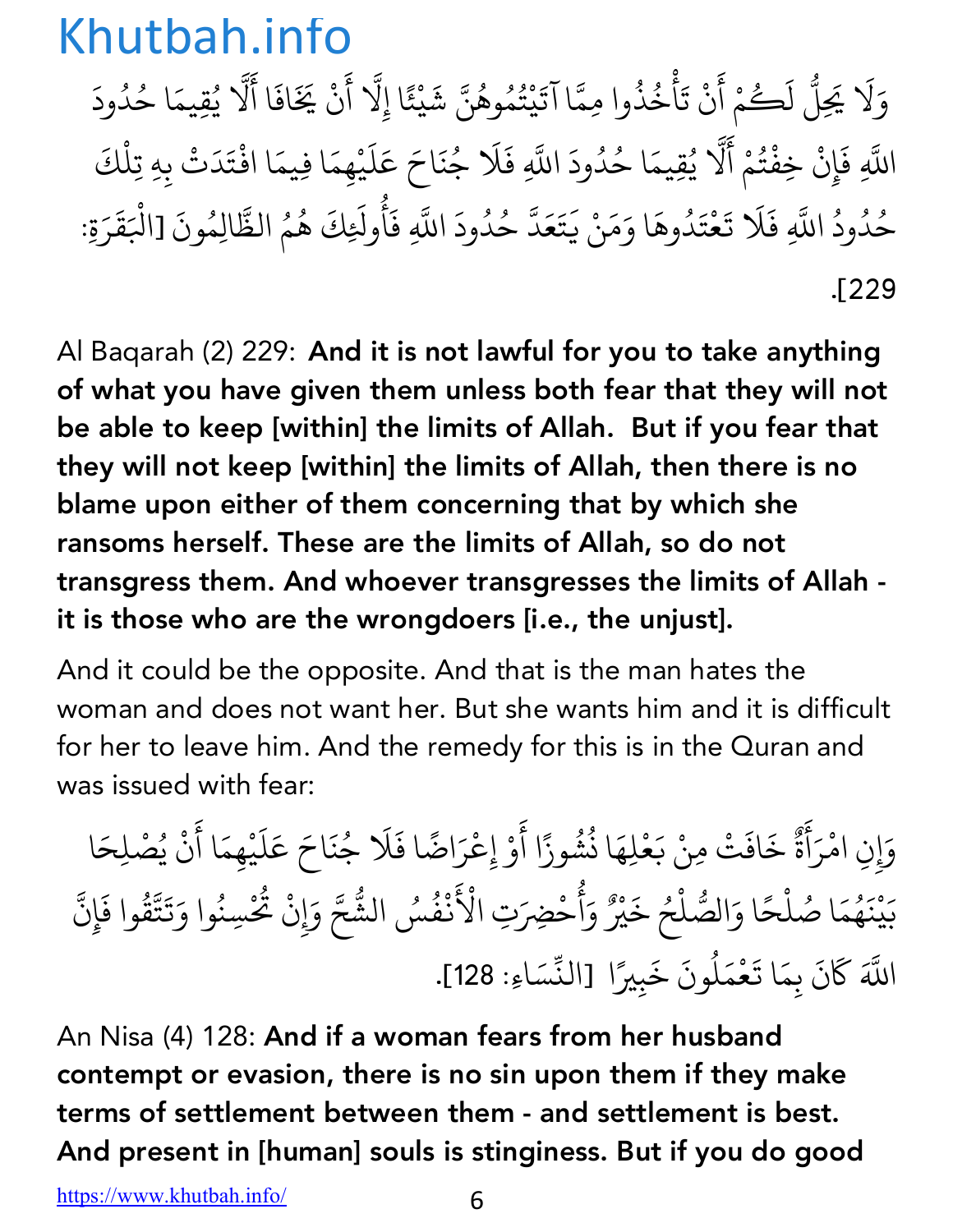وَلَا يَجِلُّ لَكُمْ أَنْ تَأْخُذُوا مِمَّا آتَيْتُمُوهُنَّ شَيْئًا إِلَّا أَنْ يَخَافَا أَلَّا يُقِيمَا حُدُودَ ِ<br>ا  $\ddot{\phantom{a}}$ ֺ֧֦֧֦֧֦֦֧֝֝֝<u>֘</u> ْ المستقبل المستقبل المستقبل المستقبل المستقبل المستقبل المستقبل المستقبل المستقبل المستقبل المستقبل المستقبل ال<br>والمستقبل المستقبل المستقبل المستقبل المستقبل المستقبل المستقبل المستقبل المستقبل المستقبل المستقبل المستقبل ا ֺ֧֦֧֦֧֦֧֦֧֝֝<u>֓</u> ُ المستقبل المستقبل المستقبل المستقبل المستقبل المستقبل المستقبل المستقبل المستقبل المستقبل المستقبل المستقبل ال<br>والمستقبل المستقبل المستقبل المستقبل المستقبل المستقبل المستقبل المستقبل المستقبل المستقبل المستقبل المستقبل ا ا<br>المسلمان<br>المسلمان **∶** ैं।<br>; َ K ُ ِّ بِ ُ **∶** اللَّهِ فَإِنْ خِفْتُمْ أَلَّا يُقِيمَا حُدُودَ اللَّهِ فَلَا جُنَاحَ عَلَيْهِمَا فِيمَا افْتَدَتْ بِهِ تِلْكَ **∶** ُ ैं।<br>। .<br>. المستقبل المستقبل المستقبل المستقبل المستقبل المستقبل المستقبل المستقبل المستقبل المستقبل المستقبل المستقبل ال<br>والمستقبل المستقبل المستقبل المستقبل المستقبل المستقبل المستقبل المستقبل المستقبل المستقبل المستقبل المستقبل ا المُستَّبِينِ بِهِ الْمُسَوِّرِ بِهِ الْمُسْتَفِعِينِ بِهِ الْمُسْتَفِعِينَ بِهِ الْمُسْتَفِعِينَ بِهِ الْمُسَوِّرِ المستقبل المستقبل المستقبل المستقبل المستقبل المستقبل المستقبل المستقبل المستقبل المستقبل المستقبل المستقبل ال<br>والمستقبل المستقبل المستقبل المستقبل المستقبل المستقبل المستقبل المستقبل المستقبل المستقبل المستقبل المستقبل ا ُ َ **∶** ْ ْै।<br>। **∶** حُدُودُ اللَّهِ فَلَا تَعْتَدُوهَا وَمَنْ يَتَعَدَّ حُدُودَ اللَّهِ فَأُولَئِكَ هُمُ الظَّالِمُونَ [الْبَقَرَةِ: المستقبل المستقبل المستقبل المستقبل المستقبل المستقبل المستقبل المستقبل المستقبل المستقبل المستقبل المستقبل ال<br>والمستقبل المستقبل المستقبل المستقبل المستقبل المستقبل المستقبل المستقبل المستقبل المستقبل المستقبل المستقبل ا ُ ُ  $\ddot{\phantom{0}}$ <u>َّبِيْنِي الْمَسْتَقَلِي</u>  $\ddot{\phantom{a}}$ ُ **ृ**  $\ddot{\phantom{a}}$ K ؚ<br>ۣ المستقبل المستقبل المستقبل المستقبل المستقبل المستقبل المستقبل المستقبل المستقبل المستقبل المستقبل المستقبل ال<br>والمستقبل المستقبل المستقبل المستقبل المستقبل المستقبل المستقبل المستقبل المستقبل المستقبل المستقبل المستقبل ا َ المستقبل المستقبل المستقبل المستقبل المستقبل المستقبل المستقبل المستقبل المستقبل المستقبل المستقبل المستقبل ال<br>والمستقبل المستقبل المستقبل المستقبل المستقبل المستقبل المستقبل المستقبل المستقبل المستقبل المستقبل المستقبل ا المستقبل المستقبل المستقبل المستقبل المستقبل المستقبل المستقبل المستقبل المستقبل المستقبل المستقبل المستقبل ال<br>والمستقبل المستقبل المستقبل المستقبل المستقبل المستقبل المستقبل المستقبل المستقبل المستقبل المستقبل المستقبل ا E<br>E<br>E  $\ddot{\phantom{a}}$ .[229

Al Baqarah (2) 229: And it is not lawful for you to take anything of what you have given them unless both fear that they will not be able to keep [within] the limits of Allah. But if you fear that they will not keep [within] the limits of Allah, then there is no blame upon either of them concerning that by which she ransoms herself. These are the limits of Allah, so do not transgress them. And whoever transgresses the limits of Allah it is those who are the wrongdoers [i.e., the unjust].

And it could be the opposite. And that is the man hates the woman and does not want her. But she wants him and it is difficult for her to leave him. And the remedy for this is in the Quran and was issued with fear:

وَإِنِ امْرَأَةٌ خَافَتْ مِنْ بَعْلِهَا نُشُوزًا أَوْ إِعْرَاضًا فَلَا جُنَاحَ عَلَيْهِمَا أَنْ يُصْلِحَا َ إ َ ैं।<br>न ٌ َ ُ ُ ्<br>। ؚ<br>ا ؚ<br>ۣ ्<br>। ्<br>।  $\ddot{\phantom{a}}$ ُ َ بَيْنَهُمَا صُلْحًا وَالصُّلْحُ خَيْرٌ وَأُحْضِرَ َ ْ ्<br>। المستقبل المستقبل المستقبل المستقبل المستقبل المستقبل المستقبل المستقبل المستقبل المستقبل المستقبل المستقبل ال<br>والمستقبل المستقبل المستقبل المستقبل المستقبل المستقبل المستقبل المستقبل المستقبل المستقبل المستقبل المستقبل ا ْ ؚ<br>ا ्<br>। ُ ر<br>ج تِ الْأَنْفُسُ الشَّحَّ وَإِنْ تُحْسِنُوا وَتَتَّقُوا فَإِنَّ ُ ֧֦֖֧֦֦֖֧֦֦֖֦֦֦֖֦֦֖֧֦֦֪֦֖֦֦֖֦֦֖֦֦֖֦֪֦֖֦֦֖֦֪֦֪֦֖֦֪֪֦֝֟֟֟֟֟֟֟֟֟֟֟֟֟֟֟֟֟֟֟֟֬֟֟֟֟֟֟֟֟֟֟֟֟֟֟֬֟֟֟֟֟֟֟֟֟ K **∶** إ ُ َ $\ddot{\phantom{a}}$ K **∶** K اللَّهَ كَانَ بِمَا تَعْمَلُونَ خَبِيرًا [النِّسَاءِ: 128].  $\ddot{\phantom{0}}$ <u>َّأ</u> **∶** المستقبل المستقبل المستقبل المستقبل المستقبل المستقبل المستقبل المستقبل المستقبل المستقبل المستقبل المستقبل ال<br>والمستقبل المستقبل المستقبل المستقبل المستقبل المستقبل المستقبل المستقبل المستقبل المستقبل المستقبل المستقبل ا ्<br>।

An Nisa (4) 128: And if a woman fears from her husband contempt or evasion, there is no sin upon them if they make terms of settlement between them - and settlement is best. And present in [human] souls is stinginess. But if you do good

https://www.khutbah.info/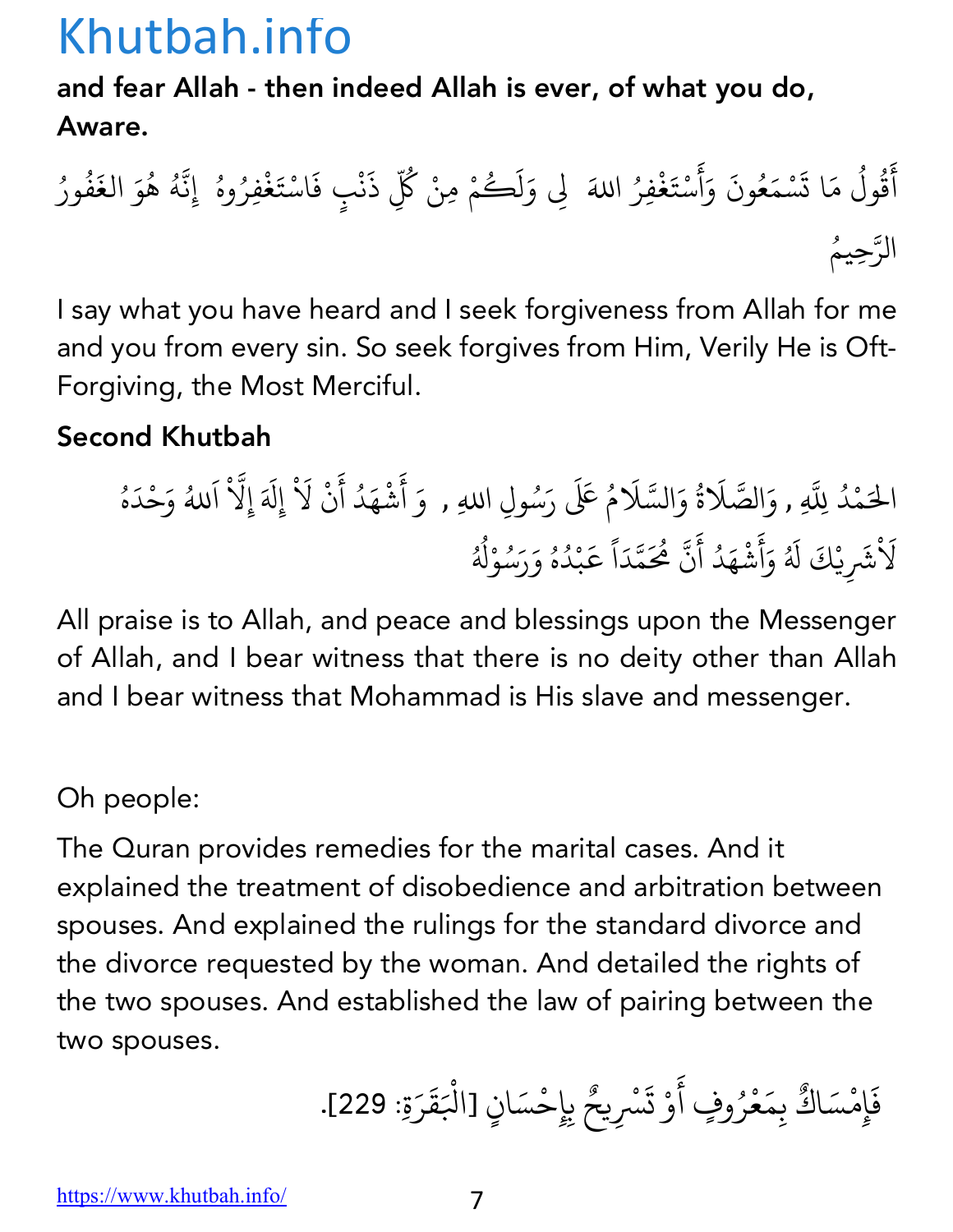#### and fear Allah - then indeed Allah is ever, of what you do, Aware.

أ َ ق ول ُ ُ م ا ت َ َ س م ْ ع َ ون ُ و َ َ أ َ س ْ ت َ غ ِفر ْ َ ِm <sup>و</sup> َ ا+ ُ ل ك َ ُ م ِمن ْ ك ْ ُّ ذ ِ َ ن ف ٍب ْ اس َ ْ ت َ غ ِفر ْ ُ وه إِن ُ ّ ه ُ ه ُ و َ الغ َ ف ُ ور ُ ّ الر ُِحيم

I say what you have heard and I seek forgiveness from Allah for me and you from every sin. So seek forgives from Him, Verily He is Oft-Forgiving, the Most Merciful.

#### Second Khutbah

م َ ال د ْ ُ +ِ ّ <sup>O</sup> ّ الص َ ِ , <sup>و</sup> َ ة ُ و <sup>O</sup> ّ الس َ <sup>ر</sup> ََ ُ <sup>x</sup> <sup>م</sup> َ س َ ُ <sup>أ</sup> َ <sup>و</sup> ِل اِ+ , <sup>و</sup> َ ش ْ ه د َ أ ُ َ ن ْ Z إِل َ ْ َ إِZ َ ْ ّ ا َ +ُ و ح َ د ْ َ ه ُ Z ش َ ْ َ يِ ك ْ ل َ َ ُ و َ أ َ ش ه د َ أ ُ َ ن م ّ م َُ ّ د َ ا ً ع َ ب ْ د ُ ه ُ و ر َ س َ ُ و ل ْ ُ ُ

All praise is to Allah, and peace and blessings upon the Messenger of Allah, and I bear witness that there is no deity other than Allah and I bear witness that Mohammad is His slave and messenger.

#### Oh people:

The Quran provides remedies for the marital cases. And it explained the treatment of disobedience and arbitration between spouses. And explained the rulings for the standard divorce and the divorce requested by the woman. And detailed the rights of the two spouses. And established the law of pairing between the two spouses.

ف َ إ مِ س ْ اك َ ٌ ب مِ َ ع ْ ر ف أ ُ َ وٍ و ْ ت ْس َ يح ِ ٌ ب ِ ِح إ س ْ ان َ [اك ٍ ْ قَ َ ر َ .[229 :ِ ة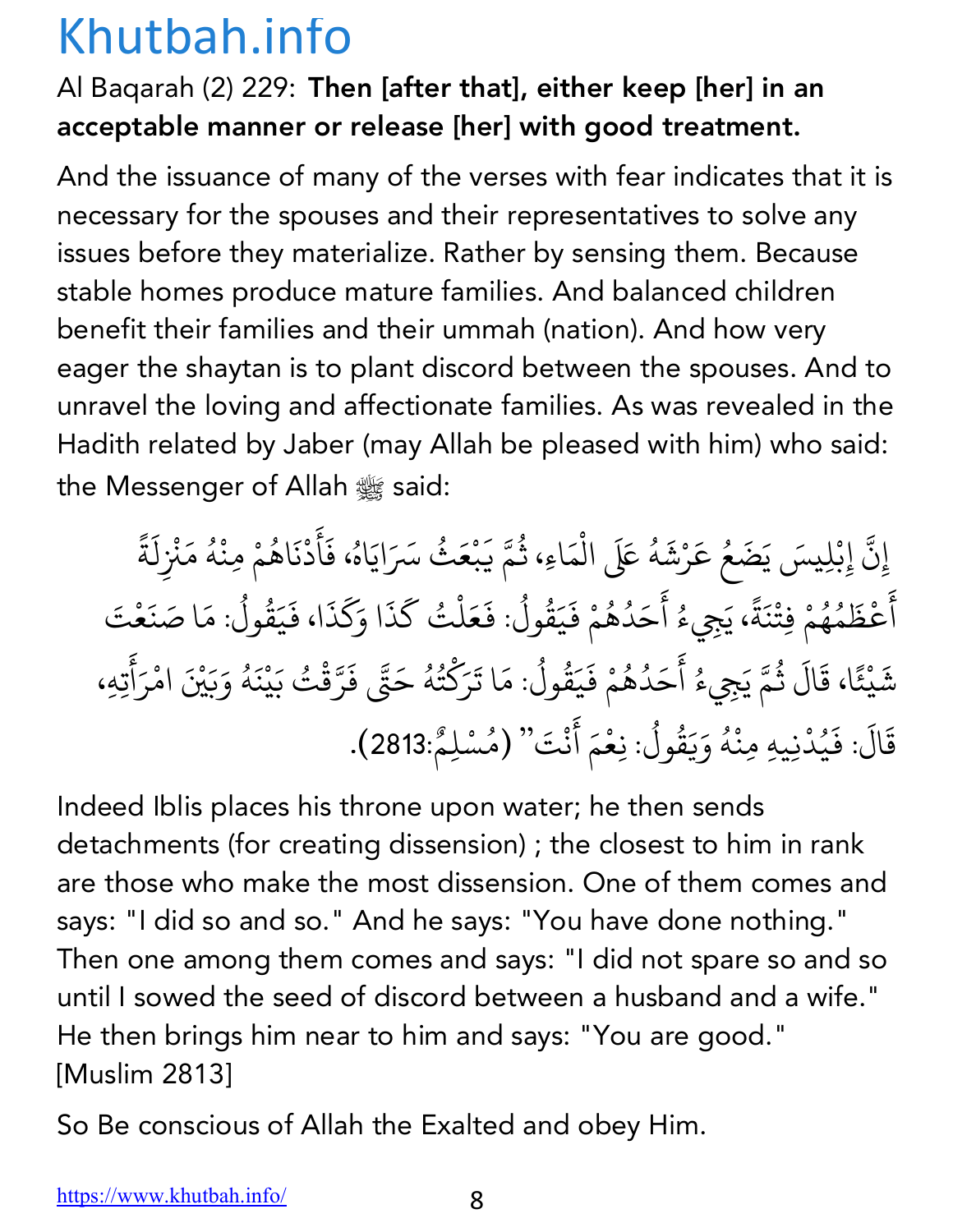#### Al Baqarah (2) 229: Then [after that], either keep [her] in an acceptable manner or release [her] with good treatment.

And the issuance of many of the verses with fear indicates that it is necessary for the spouses and their representatives to solve any issues before they materialize. Rather by sensing them. Because stable homes produce mature families. And balanced children benefit their families and their ummah (nation). And how very eager the shaytan is to plant discord between the spouses. And to unravel the loving and affectionate families. As was revealed in the Hadith related by Jaber (may Allah be pleased with him) who said: the Messenger of Allah  $\frac{dx}{dx}$  said:

إِنَّ إِبْلِيسَ يَضَعُ عَرْشَهُ عَلَى الْمَاءِ، ثُمَّ يَبْعَثُ سَرَايَاهُ، فَأَدْنَاهُمْ مِنْهُ مَنْزِلَةً المستقبل المستقبل المستقبل المستقبل المستقبل المستقبل المستقبل المستقبل المستقبل المستقبل المستقبل المستقبل ال<br>والمستقبل المستقبل المستقبل المستقبل المستقبل المستقبل المستقبل المستقبل المستقبل المستقبل المستقبل المستقبل ا َ ्<br>। ْ ُ.<br>. َ ُ **ृ** ैं. المسلم<br>المسلمان<br>المسلمان ؚ<br>ۣ ्<br>।  $\frac{1}{2}$ ر<br>أَعْظَمُهُمْ فِتْنَةً، يَجِيءُ أَحَدُهُمْ فَيَقُولُ: فَعَلْتُ كَذَا وَكَذَا، فَيَقُولُ: مَا صَنَعْتَ ֪֪֚֚֡֡֝֬֝֝֟֟*֟* المستقبل المستقبل المستقبل المستقبل المستقبل المستقبل المستقبل المستقبل المستقبل المستقبل المستقبل المستقبل ال<br>والمستقبل المستقبل المستقبل المستقبل المستقبل المستقبل المستقبل المستقبل المستقبل المستقبل المستقبل المستقبل ا ُ <u>់</u> **∶ ا**<br>المنابع ्<br>। ُ المسلم<br>المسلمان<br>المسلمان **∶ ∶** ِّ بِهِ الْمُسْتَقِينَ بِهِ الْمُسْتَقِينَ بِهِ الْمُسْتَقِينَ بِهِ الْمُسْتَقِينَ بِهِ الْمُسْتَقِينَ بِهِ ا َ ै<br>ॄ َ ֦֦֦֦֦֖֚֚֚֚֝֝֝֝֝֝֝֝֝֬֝֝֝**֟ ∶** َ ُ َ  $\ddot{\phantom{a}}$ شَيْئًا، قَالَ ثُمَّ يَجِيءُ أَحَدُهُمْ فَيَقُولُ: مَا تَرَكْتُهُ حَتَّى فَرَّقْتُ بَيْنَهُ وَبَيْنَ امْرَأَتِهِ، َ المستقبل المستقبل المستقبل المستقبل المستقبل المستقبل المستقبل المستقبل المستقبل المستقبل المستقبل المستقبل ال<br>والمستقبل المستقبل المستقبل المستقبل المستقبل المستقبل المستقبل المستقبل المستقبل المستقبل المستقبل المستقبل ا K ैं।<br>। المستقبل المستقبل المستقبل المستقبل المستقبل المستقبل المستقبل المستقبل المستقبل المستقبل المستقبل المستقبل ال<br>والمستقبل المستقبل المستقبل المستقبل المستقبل المستقبل المستقبل المستقبل المستقبل المستقبل المستقبل المستقبل ا ؚ<br>ۣ **∶** ्<br>। ُ  $\ddot{\phantom{0}}$ <u>់</u> ُ ؚ<br>ۣ َ K ∫<br>≀ **∶** ْ ्<br>। ؚ<br>ۣ **∶** ْ **∶** ्<br>। قَالَ: فَيُدْنِيهِ مِنْهُ وَيَقُولُ: نِعْمَ أَنْتَ'' (مُسْلِمٌ:2813). َ ُ ؚ<br>ۣ ्<br>। َ ُ <u>َّأ</u>  $\ddot{\phantom{a}}$ 

Indeed Iblis places his throne upon water; he then sends detachments (for creating dissension) ; the closest to him in rank are those who make the most dissension. One of them comes and says: "I did so and so." And he says: "You have done nothing." Then one among them comes and says: "I did not spare so and so until I sowed the seed of discord between a husband and a wife." He then brings him near to him and says: "You are good." [Muslim 2813]

So Be conscious of Allah the Exalted and obey Him.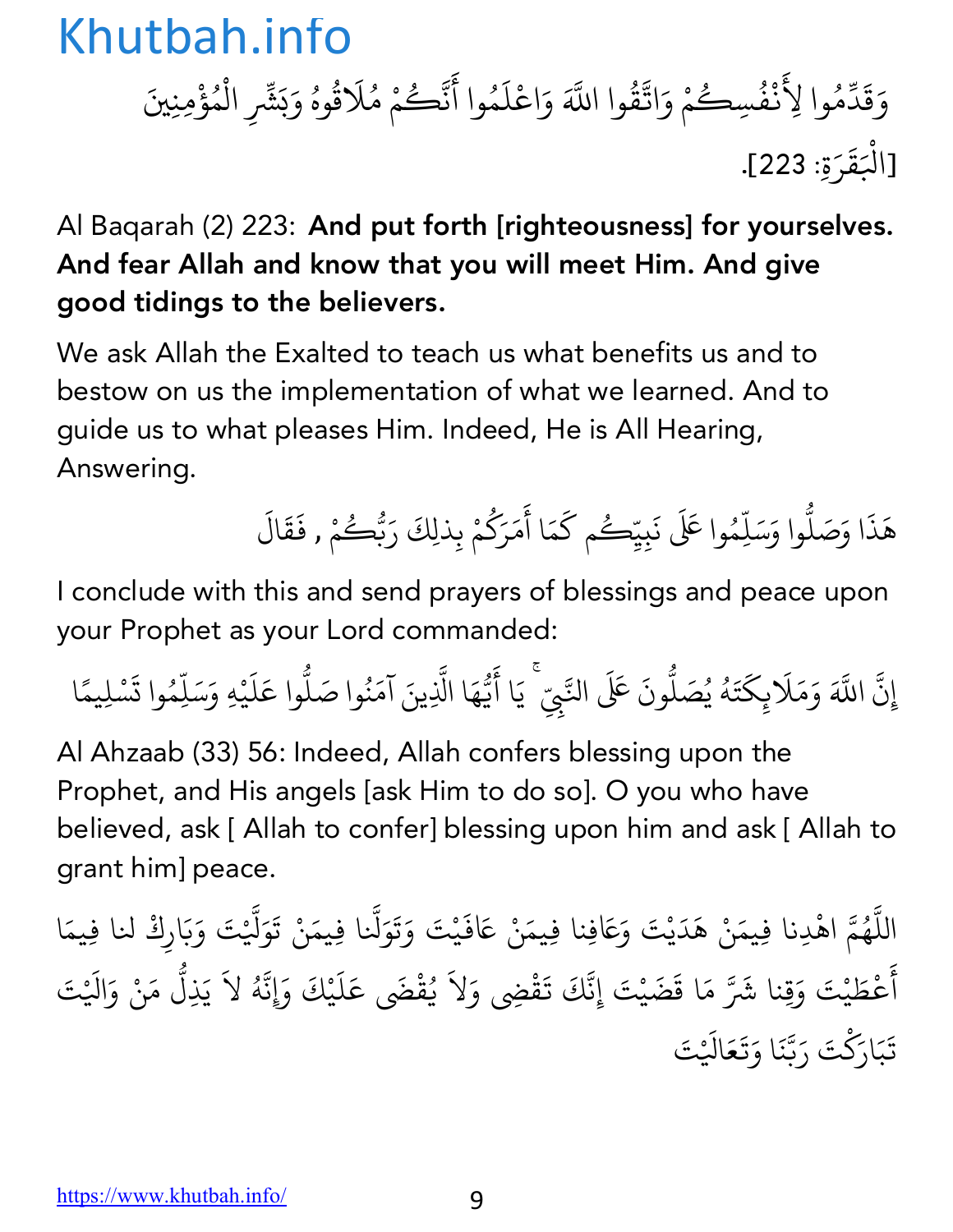وَقَدِّمُوا لِأَنْفُسِكُمْ وَاتَّقُ َ  $\ddot{\phantom{a}}$ <u>،</u>  $\ddot{\phantom{a}}$ المستقبل المستقبل المستقبل المستقبل المستقبل المستقبل المستقبل المستقبل المستقبل المستقبل المستقبل المستقبل ال<br>والمستقبل المستقبل المستقبل المستقبل المستقبل المستقبل المستقبل المستقبل المستقبل المستقبل المستقبل المستقبل ا ِ<br>ا K ُ ر<br>س وا اللَّهَ وَاعْلَمُوا أَنَّكُمْ مُلَاقُوهُ وَبَشِّرِ الْمُؤْمِنِينَ ؚ<br>ا **∶** َ K ∫<br>∫ ्<br>। المستشرك المستشرك المستشرك المستشرك المستشرك المستشرك المستشرك المستشرك المستشرك المستشرك المستشرك المستشركة ا<br>والمستشركة المستشركة المستشركة المستشركة المستشركة المستشركة المستشركة المستشركة المستشركة المستشركة المستشركة ا<br>المسلمانية<br>المسلمانية َ ْ ُ َ[اك قَ ر َ .[223 :ِ ة ْ  $\ddot{\phantom{a}}$ 

Al Baqarah (2) 223: And put forth [righteousness] for yourselves. And fear Allah and know that you will meet Him. And give good tidings to the believers.

We ask Allah the Exalted to teach us what benefits us and to bestow on us the implementation of what we learned. And to guide us to what pleases Him. Indeed, He is All Hearing, Answering.

هَذَا وَصَلُّوا وَسَلِّهُ **.** ֧֦֧֝<u>֘</u> وا عَلَى نَبِيِّكُم كَمَا أَمَرَكُمْ بِذلِكَ رَبُّكُ **∶** َ  $\ddot{\phantom{a}}$ ∫<br>∫ **∶** ر<br>گ مْ , فَقَالَ **∶ ∶** 

I conclude with this and send prayers of blessings and peace upon your Prophet as your Lord commanded:

إِن ֪֡֡֟֓֟֓֝֟֟֓֝֬֝֟֓֝֬֝֟֓֝֬֝֟֝֬**֟** ्<br>द اللَّهَ وَمَلَابِكَتَهُ يُصَلُّونَ عَلَى النَّبِيِّ ۚ يَا أَيُّهَا الَّذِينَ آمَنُوا صَلُّوا عَلَيْهِ وَسَلِّمُوا تَسْلِيمًا **∶** ֦֖֚֚֚֚֚֚֝֝֝֝֝֝֝֝֬֝֓֝֝֬֝֝֝֝֬**֟ ∶** ∫<br>່ ُ **. ّ ∶** ֧֪֪֪֦֪֦֧֦֪֦֧֦֪֧֦֪֦֧֦֪֪֦֧֝֟֟֟֟֟֟֟֟֟֟֟֟֟֟֟֟֬֟֟֟֟֬֟֟֟֟֝֟֟֟֟֟֟֬֟֟֟֟֟֟֟֬֟ **: ∶** ُ **.** َ**∶ ـ ∶ ا**<br>ا

Al Ahzaab (33) 56: Indeed, Allah confers blessing upon the Prophet, and His angels [ask Him to do so]. O you who have believed, ask [ Allah to confer] blessing upon him and ask [ Allah to grant him] peace.

اللَّهُمَّ اهْدِنا فِيمَنْ هَدَيْتَ وَعَافِنا فِيمَنْ عَافَيْتَ وَتَوَلَّنا فِيمَنْ تَوَلَّيْتَ وَبَارِكْ لنا فِيمَا ֧֖֧֦֧֚֚֝֝֝֬<br>֧֚֝ ُ <u>:</u> **∶ ∶ ∶** ؚ<br>ׇ֚֡֡<br>ׇ֧֖֝֝֬֝֝֬֝֬֝֝֬֝֬֝֬֝֬֝֬֝֬֝֬֝֬֝֬**֚ ٍ** ֧֧֦֧֖֚֚֚֝֟֓֝֝֬֝<br>֧֚֝<br>֧֚֝ **∶ ∶** أ َ ِ<br>عُطَيْتَ وَقِنا شَرَّ مَا قَضَيْتَ إِنَّكَ تَقْضِي وَلاَ يُقْضَى عَلَيْكَ وَإِنَّهُ لاَ يَذِلُّ مَنْ وَالَيْتَ **∶ ∶** َ المستقبل المستقبل المستقبل المستقبل المستقبل المستقبل المستقبل المستقبل المستقبل المستقبل المستقبل المستقبل ال<br>والمستقبل المستقبل المستقبل المستقبل المستقبل المستقبل المستقبل المستقبل المستقبل المستقبل المستقبل المستقبل ا ֦֧֦֧֦֧֦֧ׅ֧֦֧ׅ֧֧ׅ֧ׅ֧֦֧ׅ֧֧ׅ֧֚֝֝֝֜֓֓֜֓֟֓֜֜֓֜֓֜֓֜֜֓ **∶** .<br>י **∶** ֧֦֧֦֧֝<u>֘</u> تَبَارَكْتَ رَبَّنَا وَتَعَالَيْتَ  $\ddot{\phantom{0}}$ َ **∶** ֧֧֦֧֡֝֟֟֟֟֟֟֟֟֟֟֟֟֟֟֟֟֟֟֟֟֡֬֟֟֟<br>֧֝֟֩֝**֟ ∶ ∶**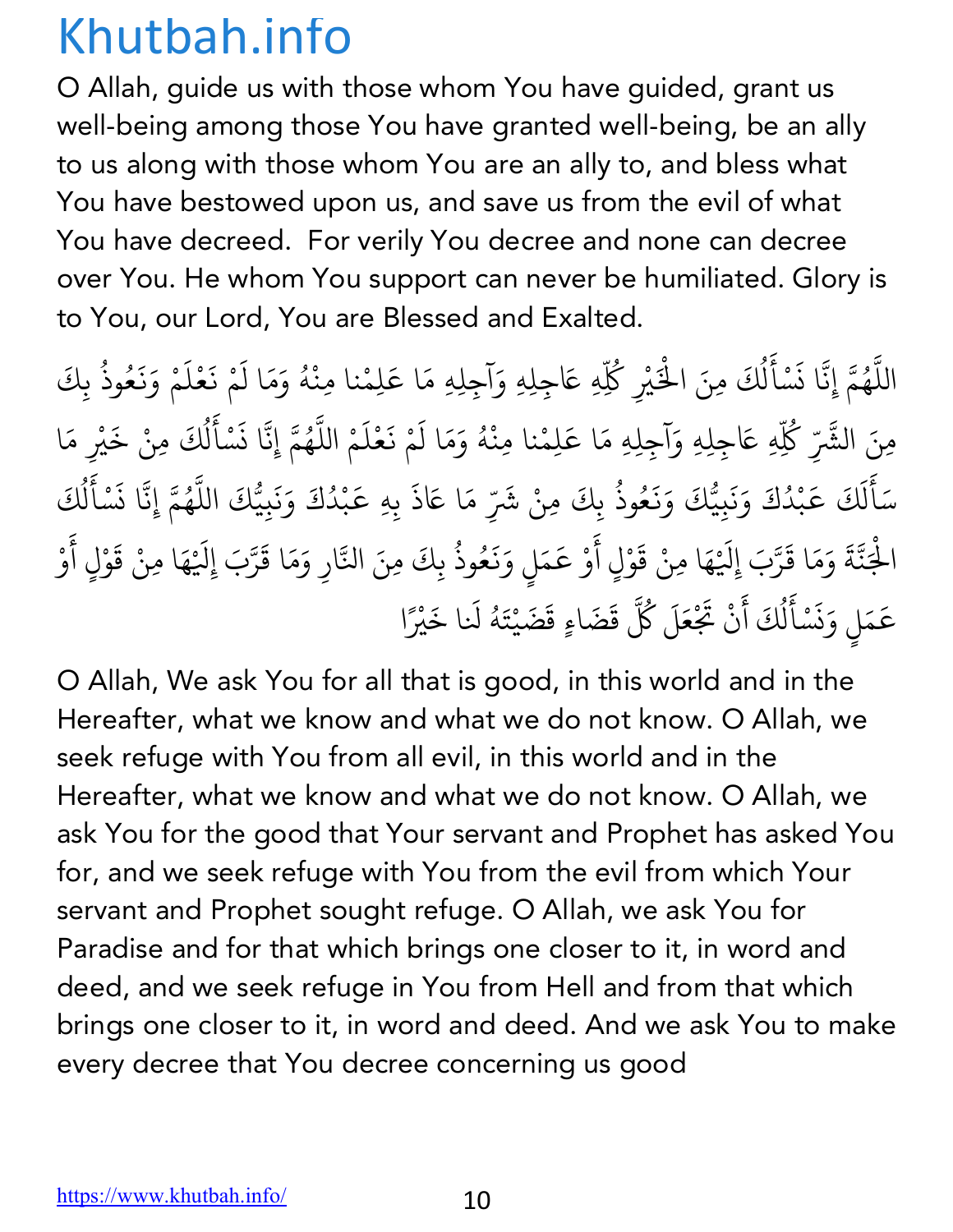O Allah, guide us with those whom You have guided, grant us well-being among those You have granted well-being, be an ally to us along with those whom You are an ally to, and bless what You have bestowed upon us, and save us from the evil of what You have decreed. For verily You decree and none can decree over You. He whom You support can never be humiliated. Glory is to You, our Lord, You are Blessed and Exalted.

اللَّهُمَّ إِنَّا نَسْأَلُكَ مِنَ الْخَيْرِ كُلِّهِ عَاجِلِهِ وَآجِلِهِ مَا عَلِمْنا مِنْهُ وَمَا لَمْ نَعْلَمْ وَنَعُوذُ بِكَ ֧֧֦֧֖֖֚֚֚֚֚֝֝֝֬֝<br>֧֚֚֝<br>֧֚֝ ُ **∶** <u>ّ</u> **∶** ل ُ ْ ْ∫<br>່ **∶ ∶** <u>َ</u> **∶ ∶ ∶** ُ ؚ<br>ؚ مِنَ الشَّرِّ كُلِّهِ عَاجِلِهِ وَآجِلِهِ مَا عَلِمْنا مِنْهُ وَمَا لَمْ نَعْلَمْ اللَّهُمَّ إِنَّا نَسْأَلُكَ مِنْ خَيْرِ مَا ∫<br>່ **∶ ∶** ْ **∶** ֧֦֧֡֝֟֟֟֟֟֟֟֟֟֟֟֟֟֟֟֡֟֟֟֟<br>֧֧֝֟֩<u>֟</u>֖֟֟֟֟֟֟ المستقبل المستقبل المستقبل المستقبل المستقبل المستقبل المستقبل المستقبل المستقبل المستقبل المستقبل المستقبل ال<br>والمستقبل المستقبل المستقبل المستقبل المستقبل المستقبل المستقبل المستقبل المستقبل المستقبل المستقبل المستقبل ا **∶** <u>َّ</u> **∶** ل المستقبل المستقبل المستقبل المستقبل المستقبل المستقبل المستقبل المستقبل المستقبل المستقبل المستقبل المستقبل ال<br>والمستقبل المستقبل المستقبل المستقبل المستقبل المستقبل المستقبل المستقبل المستقبل المستقبل المستقبل المستقبل ا **∶** سَأَلَكَ عَبْدُكَ وَنَبِيُّكَ وَنَعُوذُ بِكَ ֺ<u>֓</u> َ ل **∶** ֧֢֚֝֝֟֟֟֟֟֟֟֟֜ ْ ्<br>। **∶** ्<br>। **∶** ُ ، مِنْ شَرِّ مَا عَاذَ بِهِ عَبْدُكَ وَنَبِيُّكَ اللَّهُمَّ إِنَّا نَسْأَلُكَ **∶** ֝֝֝֝֝֟֟֟֟֟֟֟֟֟֟֟֜֜*֟* ْ **∶ ∶** ّ ُ **∶** <u>ّ</u> ֖֪֦֚֚֚֚֚֝֝֝֝֝֝֝֝֝֝֝**֝** ل ُ ؚ<br>ؚ الْجَنَّةَ وَمَا قَرَّبَ إِلَيْهَا مِنْ قَوْلٍ أَوْ عَمَلٍ وَنَعُوذُ بِكَ مِنَ النَّارِ وَمَا قَرَّبَ إِلَيْهَا مِنْ قَوْلٍ أَوْ ْ َ ֧֧֧֧֚֝֟֓֕֝֟֓֕֬֝֟֓֓֝֬֝֬֝֬֝֬֝֬֝֬֝֬֝֬֝֟֓֬֝֬֝֓֬֝֬֓֬ ؚ<br>: ֧֡֡֟֟֟֟֟֟֟֟֟֟֟֟֟֟֟֟֟֟֟֟֟֡֟֟֟<u>֟</u> **∶** ْ **∶ ∶** ֧֢֚֝֝֟֟֟֟֟֟֟֟֜ َ **∶** ُ ֧֧֝֟֓֓֝֬֟֓֓֬֝֬֝֓֓֬֝֬֝֬֝֬֝֬֝֬֝֬֝֬֝֬֝֬֝֬֓֬֝֬ **∶** ֧֧֦֖֚֚֚֝֝֬ **∶** ْ **∶ ∶** ْ عَمَلٍ وَنَسْأَلُكَ أَنْ تَجْ ֚֝֝֟֟֟֟֟֟֟֟֟֟֟֟֓֡֬ َ ن **∶** <u>َ</u> **∶** ل ِّ بِ ์<br>: حَلَ كُلَّ ِ<br>قَضَاءٍ قَضَيْتَهُ لَنا خَيْرً **∶** ْ ै।<br>। ا

O Allah, We ask You for all that is good, in this world and in the Hereafter, what we know and what we do not know. O Allah, we seek refuge with You from all evil, in this world and in the Hereafter, what we know and what we do not know. O Allah, we ask You for the good that Your servant and Prophet has asked You for, and we seek refuge with You from the evil from which Your servant and Prophet sought refuge. O Allah, we ask You for Paradise and for that which brings one closer to it, in word and deed, and we seek refuge in You from Hell and from that which brings one closer to it, in word and deed. And we ask You to make every decree that You decree concerning us good